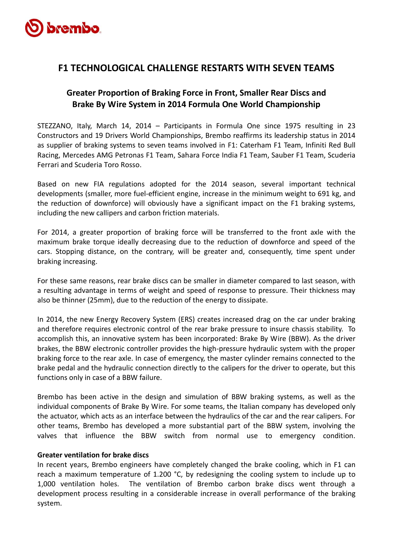

# **F1 TECHNOLOGICAL CHALLENGE RESTARTS WITH SEVEN TEAMS**

# **Greater Proportion of Braking Force in Front, Smaller Rear Discs and Brake By Wire System in 2014 Formula One World Championship**

STEZZANO, Italy, March 14, 2014 – Participants in Formula One since 1975 resulting in 23 Constructors and 19 Drivers World Championships, Brembo reaffirms its leadership status in 2014 as supplier of braking systems to seven teams involved in F1: Caterham F1 Team, Infiniti Red Bull Racing, Mercedes AMG Petronas F1 Team, Sahara Force India F1 Team, Sauber F1 Team, Scuderia Ferrari and Scuderia Toro Rosso.

Based on new FIA regulations adopted for the 2014 season, several important technical developments (smaller, more fuel-efficient engine, increase in the minimum weight to 691 kg, and the reduction of downforce) will obviously have a significant impact on the F1 braking systems, including the new callipers and carbon friction materials.

For 2014, a greater proportion of braking force will be transferred to the front axle with the maximum brake torque ideally decreasing due to the reduction of downforce and speed of the cars. Stopping distance, on the contrary, will be greater and, consequently, time spent under braking increasing.

For these same reasons, rear brake discs can be smaller in diameter compared to last season, with a resulting advantage in terms of weight and speed of response to pressure. Their thickness may also be thinner (25mm), due to the reduction of the energy to dissipate.

In 2014, the new Energy Recovery System (ERS) creates increased drag on the car under braking and therefore requires electronic control of the rear brake pressure to insure chassis stability. To accomplish this, an innovative system has been incorporated: Brake By Wire (BBW). As the driver brakes, the BBW electronic controller provides the high-pressure hydraulic system with the proper braking force to the rear axle. In case of emergency, the master cylinder remains connected to the brake pedal and the hydraulic connection directly to the calipers for the driver to operate, but this functions only in case of a BBW failure.

Brembo has been active in the design and simulation of BBW braking systems, as well as the individual components of Brake By Wire. For some teams, the Italian company has developed only the actuator, which acts as an interface between the hydraulics of the car and the rear calipers. For other teams, Brembo has developed a more substantial part of the BBW system, involving the valves that influence the BBW switch from normal use to emergency condition.

## **Greater ventilation for brake discs**

In recent years, Brembo engineers have completely changed the brake cooling, which in F1 can reach a maximum temperature of 1.200 °C, by redesigning the cooling system to include up to 1,000 ventilation holes. The ventilation of Brembo carbon brake discs went through a development process resulting in a considerable increase in overall performance of the braking system.